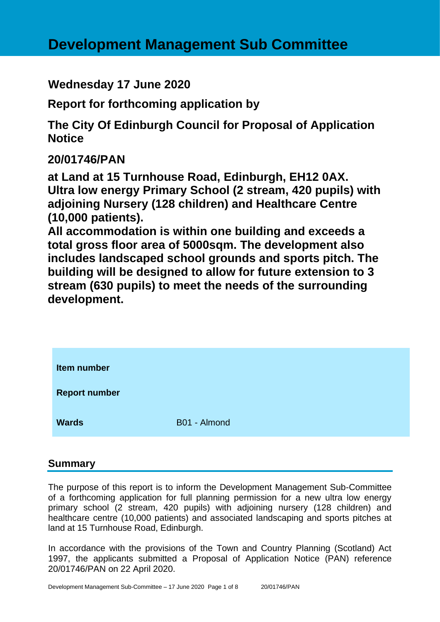**Wednesday 17 June 2020**

**Report for forthcoming application by**

**The City Of Edinburgh Council for Proposal of Application Notice** 

**20/01746/PAN**

**at Land at 15 Turnhouse Road, Edinburgh, EH12 0AX. Ultra low energy Primary School (2 stream, 420 pupils) with adjoining Nursery (128 children) and Healthcare Centre (10,000 patients).**

**All accommodation is within one building and exceeds a total gross floor area of 5000sqm. The development also includes landscaped school grounds and sports pitch. The building will be designed to allow for future extension to 3 stream (630 pupils) to meet the needs of the surrounding development.**

| Item number          |              |
|----------------------|--------------|
| <b>Report number</b> |              |
| <b>Wards</b>         | B01 - Almond |

## **Summary**

The purpose of this report is to inform the Development Management Sub-Committee of a forthcoming application for full planning permission for a new ultra low energy primary school (2 stream, 420 pupils) with adjoining nursery (128 children) and healthcare centre (10,000 patients) and associated landscaping and sports pitches at land at 15 Turnhouse Road, Edinburgh.

In accordance with the provisions of the Town and Country Planning (Scotland) Act 1997, the applicants submitted a Proposal of Application Notice (PAN) reference 20/01746/PAN on 22 April 2020.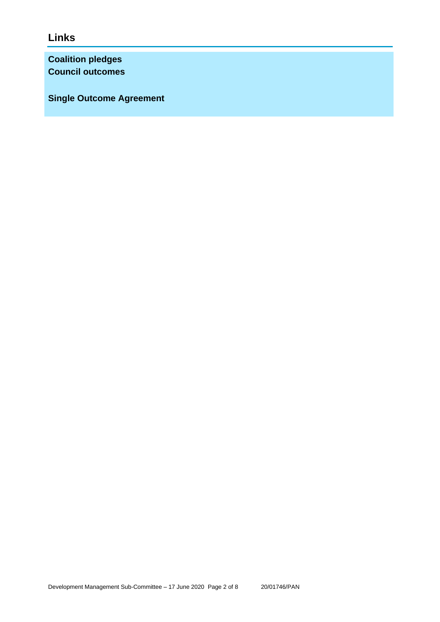**Links**

**Coalition pledges Council outcomes**

**Single Outcome Agreement**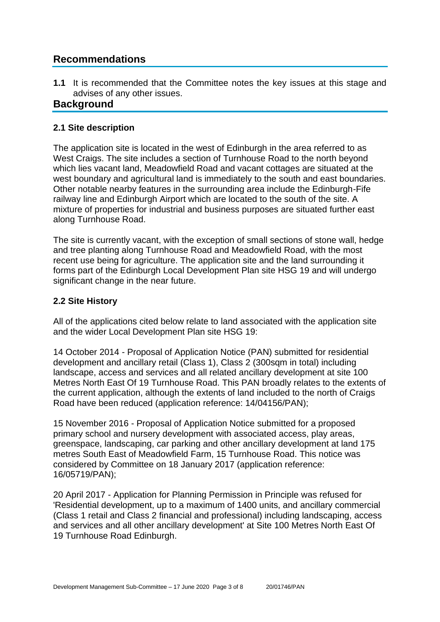## **Recommendations**

**1.1** It is recommended that the Committee notes the key issues at this stage and advises of any other issues.

## **Background**

### **2.1 Site description**

The application site is located in the west of Edinburgh in the area referred to as West Craigs. The site includes a section of Turnhouse Road to the north beyond which lies vacant land, Meadowfield Road and vacant cottages are situated at the west boundary and agricultural land is immediately to the south and east boundaries. Other notable nearby features in the surrounding area include the Edinburgh-Fife railway line and Edinburgh Airport which are located to the south of the site. A mixture of properties for industrial and business purposes are situated further east along Turnhouse Road.

The site is currently vacant, with the exception of small sections of stone wall, hedge and tree planting along Turnhouse Road and Meadowfield Road, with the most recent use being for agriculture. The application site and the land surrounding it forms part of the Edinburgh Local Development Plan site HSG 19 and will undergo significant change in the near future.

### **2.2 Site History**

All of the applications cited below relate to land associated with the application site and the wider Local Development Plan site HSG 19:

14 October 2014 - Proposal of Application Notice (PAN) submitted for residential development and ancillary retail (Class 1), Class 2 (300sqm in total) including landscape, access and services and all related ancillary development at site 100 Metres North East Of 19 Turnhouse Road. This PAN broadly relates to the extents of the current application, although the extents of land included to the north of Craigs Road have been reduced (application reference: 14/04156/PAN);

15 November 2016 - Proposal of Application Notice submitted for a proposed primary school and nursery development with associated access, play areas, greenspace, landscaping, car parking and other ancillary development at land 175 metres South East of Meadowfield Farm, 15 Turnhouse Road. This notice was considered by Committee on 18 January 2017 (application reference: 16/05719/PAN);

20 April 2017 - Application for Planning Permission in Principle was refused for 'Residential development, up to a maximum of 1400 units, and ancillary commercial (Class 1 retail and Class 2 financial and professional) including landscaping, access and services and all other ancillary development' at Site 100 Metres North East Of 19 Turnhouse Road Edinburgh.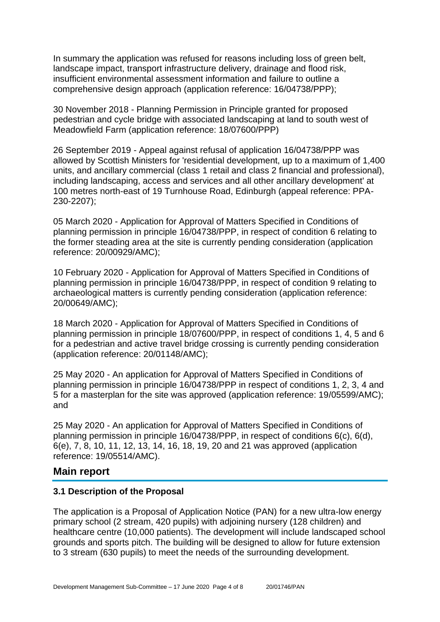In summary the application was refused for reasons including loss of green belt, landscape impact, transport infrastructure delivery, drainage and flood risk, insufficient environmental assessment information and failure to outline a comprehensive design approach (application reference: 16/04738/PPP);

30 November 2018 - Planning Permission in Principle granted for proposed pedestrian and cycle bridge with associated landscaping at land to south west of Meadowfield Farm (application reference: 18/07600/PPP)

26 September 2019 - Appeal against refusal of application 16/04738/PPP was allowed by Scottish Ministers for 'residential development, up to a maximum of 1,400 units, and ancillary commercial (class 1 retail and class 2 financial and professional), including landscaping, access and services and all other ancillary development' at 100 metres north-east of 19 Turnhouse Road, Edinburgh (appeal reference: PPA-230-2207);

05 March 2020 - Application for Approval of Matters Specified in Conditions of planning permission in principle 16/04738/PPP, in respect of condition 6 relating to the former steading area at the site is currently pending consideration (application reference: 20/00929/AMC);

10 February 2020 - Application for Approval of Matters Specified in Conditions of planning permission in principle 16/04738/PPP, in respect of condition 9 relating to archaeological matters is currently pending consideration (application reference: 20/00649/AMC);

18 March 2020 - Application for Approval of Matters Specified in Conditions of planning permission in principle 18/07600/PPP, in respect of conditions 1, 4, 5 and 6 for a pedestrian and active travel bridge crossing is currently pending consideration (application reference: 20/01148/AMC);

25 May 2020 - An application for Approval of Matters Specified in Conditions of planning permission in principle 16/04738/PPP in respect of conditions 1, 2, 3, 4 and 5 for a masterplan for the site was approved (application reference: 19/05599/AMC); and

25 May 2020 - An application for Approval of Matters Specified in Conditions of planning permission in principle 16/04738/PPP, in respect of conditions 6(c), 6(d), 6(e), 7, 8, 10, 11, 12, 13, 14, 16, 18, 19, 20 and 21 was approved (application reference: 19/05514/AMC).

#### **Main report**

#### **3.1 Description of the Proposal**

The application is a Proposal of Application Notice (PAN) for a new ultra-low energy primary school (2 stream, 420 pupils) with adjoining nursery (128 children) and healthcare centre (10,000 patients). The development will include landscaped school grounds and sports pitch. The building will be designed to allow for future extension to 3 stream (630 pupils) to meet the needs of the surrounding development.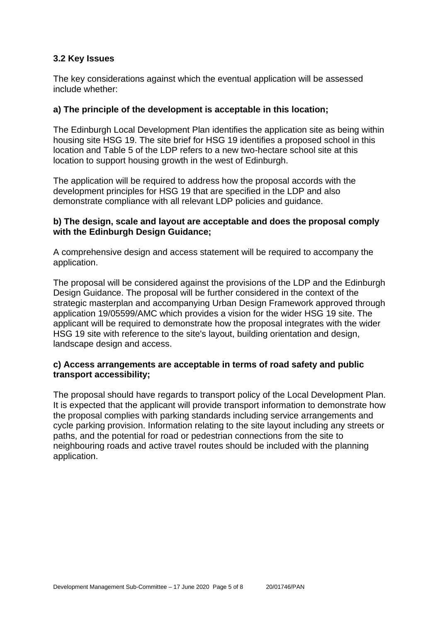### **3.2 Key Issues**

The key considerations against which the eventual application will be assessed include whether:

#### **a) The principle of the development is acceptable in this location;**

The Edinburgh Local Development Plan identifies the application site as being within housing site HSG 19. The site brief for HSG 19 identifies a proposed school in this location and Table 5 of the LDP refers to a new two-hectare school site at this location to support housing growth in the west of Edinburgh.

The application will be required to address how the proposal accords with the development principles for HSG 19 that are specified in the LDP and also demonstrate compliance with all relevant LDP policies and guidance.

#### **b) The design, scale and layout are acceptable and does the proposal comply with the Edinburgh Design Guidance;**

A comprehensive design and access statement will be required to accompany the application.

The proposal will be considered against the provisions of the LDP and the Edinburgh Design Guidance. The proposal will be further considered in the context of the strategic masterplan and accompanying Urban Design Framework approved through application 19/05599/AMC which provides a vision for the wider HSG 19 site. The applicant will be required to demonstrate how the proposal integrates with the wider HSG 19 site with reference to the site's layout, building orientation and design, landscape design and access.

#### **c) Access arrangements are acceptable in terms of road safety and public transport accessibility;**

The proposal should have regards to transport policy of the Local Development Plan. It is expected that the applicant will provide transport information to demonstrate how the proposal complies with parking standards including service arrangements and cycle parking provision. Information relating to the site layout including any streets or paths, and the potential for road or pedestrian connections from the site to neighbouring roads and active travel routes should be included with the planning application.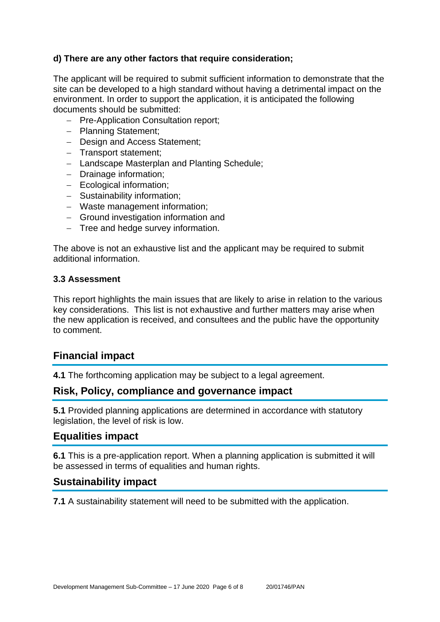### **d) There are any other factors that require consideration;**

The applicant will be required to submit sufficient information to demonstrate that the site can be developed to a high standard without having a detrimental impact on the environment. In order to support the application, it is anticipated the following documents should be submitted:

- − Pre-Application Consultation report;
- − Planning Statement;
- − Design and Access Statement;
- − Transport statement;
- − Landscape Masterplan and Planting Schedule;
- − Drainage information;
- − Ecological information;
- − Sustainability information;
- − Waste management information;
- − Ground investigation information and
- − Tree and hedge survey information.

The above is not an exhaustive list and the applicant may be required to submit additional information.

#### **3.3 Assessment**

This report highlights the main issues that are likely to arise in relation to the various key considerations. This list is not exhaustive and further matters may arise when the new application is received, and consultees and the public have the opportunity to comment.

## **Financial impact**

**4.1** The forthcoming application may be subject to a legal agreement.

## **Risk, Policy, compliance and governance impact**

**5.1** Provided planning applications are determined in accordance with statutory legislation, the level of risk is low.

## **Equalities impact**

**6.1** This is a pre-application report. When a planning application is submitted it will be assessed in terms of equalities and human rights.

## **Sustainability impact**

**7.1** A sustainability statement will need to be submitted with the application.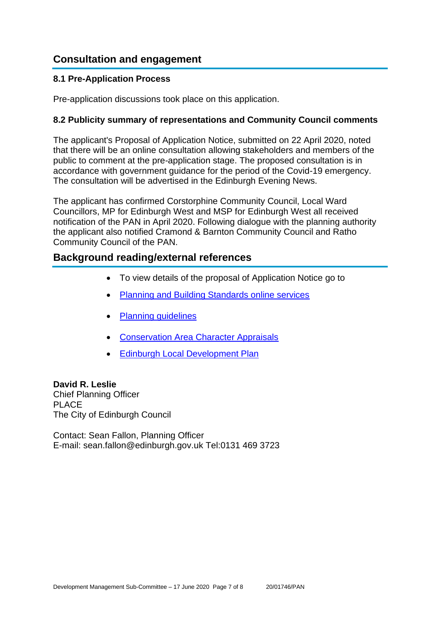## **Consultation and engagement**

#### **8.1 Pre-Application Process**

Pre-application discussions took place on this application.

#### **8.2 Publicity summary of representations and Community Council comments**

The applicant's Proposal of Application Notice, submitted on 22 April 2020, noted that there will be an online consultation allowing stakeholders and members of the public to comment at the pre-application stage. The proposed consultation is in accordance with government guidance for the period of the Covid-19 emergency. The consultation will be advertised in the Edinburgh Evening News.

The applicant has confirmed Corstorphine Community Council, Local Ward Councillors, MP for Edinburgh West and MSP for Edinburgh West all received notification of the PAN in April 2020. Following dialogue with the planning authority the applicant also notified Cramond & Barnton Community Council and Ratho Community Council of the PAN.

## **Background reading/external references**

- To view details of the proposal of Application Notice go to
- [Planning and Building Standards online services](https://citydev-portal.edinburgh.gov.uk/idoxpa-web/search.do?action=simple&searchType=Application)
- [Planning guidelines](http://www.edinburgh.gov.uk/planningguidelines)
- [Conservation Area Character Appraisals](http://www.edinburgh.gov.uk/characterappraisals)
- [Edinburgh Local Development Plan](http://www.edinburgh.gov.uk/info/20164/proposed_local_development_plan/66/local_development_plan)

#### **David R. Leslie**

Chief Planning Officer PLACE The City of Edinburgh Council

Contact: Sean Fallon, Planning Officer E-mail: sean.fallon@edinburgh.gov.uk Tel:0131 469 3723